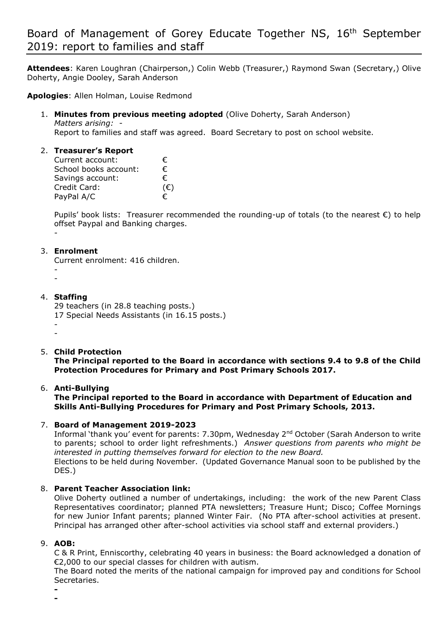**Attendees**: Karen Loughran (Chairperson,) Colin Webb (Treasurer,) Raymond Swan (Secretary,) Olive Doherty, Angie Dooley, Sarah Anderson

**Apologies**: Allen Holman, Louise Redmond

1. **Minutes from previous meeting adopted** (Olive Doherty, Sarah Anderson) *Matters arising: -* 

Report to families and staff was agreed. Board Secretary to post on school website.

# 2. **Treasurer's Report**

| Current account:      | €.           |
|-----------------------|--------------|
| School books account: | €            |
| Savings account:      | €            |
| Credit Card:          | $(\epsilon)$ |
| PayPal A/C            | €            |

Pupils' book lists: Treasurer recommended the rounding-up of totals (to the nearest €) to help offset Paypal and Banking charges.

-

#### 3. **Enrolment**

Current enrolment: 416 children. -

-

#### 4. **Staffing**

29 teachers (in 28.8 teaching posts.) 17 Special Needs Assistants (in 16.15 posts.) - -

5. **Child Protection**

**The Principal reported to the Board in accordance with sections 9.4 to 9.8 of the Child Protection Procedures for Primary and Post Primary Schools 2017.** 

# 6. **Anti-Bullying**

# **The Principal reported to the Board in accordance with Department of Education and Skills Anti-Bullying Procedures for Primary and Post Primary Schools, 2013.**

# 7. **Board of Management 2019-2023**

Informal 'thank you' event for parents: 7.30pm, Wednesday 2nd October (Sarah Anderson to write to parents; school to order light refreshments.) *Answer questions from parents who might be interested in putting themselves forward for election to the new Board.* Elections to be held during November. (Updated Governance Manual soon to be published by the DES.)

# 8. **Parent Teacher Association link:**

Olive Doherty outlined a number of undertakings, including: the work of the new Parent Class Representatives coordinator; planned PTA newsletters; Treasure Hunt; Disco; Coffee Mornings for new Junior Infant parents; planned Winter Fair. (No PTA after-school activities at present. Principal has arranged other after-school activities via school staff and external providers.)

#### 9. **AOB:**

C & R Print, Enniscorthy, celebrating 40 years in business: the Board acknowledged a donation of €2,000 to our special classes for children with autism.

The Board noted the merits of the national campaign for improved pay and conditions for School Secretaries.

**- -**